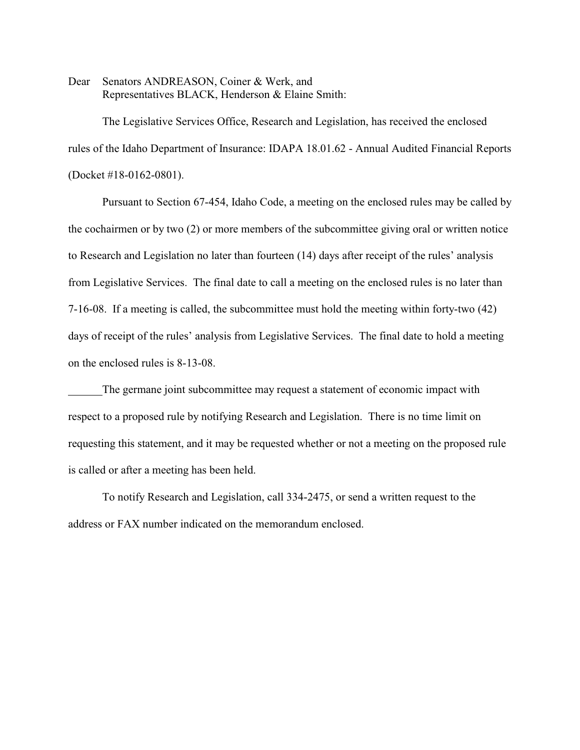Dear Senators ANDREASON, Coiner & Werk, and Representatives BLACK, Henderson & Elaine Smith:

The Legislative Services Office, Research and Legislation, has received the enclosed rules of the Idaho Department of Insurance: IDAPA 18.01.62 - Annual Audited Financial Reports (Docket #18-0162-0801).

Pursuant to Section 67-454, Idaho Code, a meeting on the enclosed rules may be called by the cochairmen or by two (2) or more members of the subcommittee giving oral or written notice to Research and Legislation no later than fourteen (14) days after receipt of the rules' analysis from Legislative Services. The final date to call a meeting on the enclosed rules is no later than 7-16-08. If a meeting is called, the subcommittee must hold the meeting within forty-two (42) days of receipt of the rules' analysis from Legislative Services. The final date to hold a meeting on the enclosed rules is 8-13-08.

The germane joint subcommittee may request a statement of economic impact with respect to a proposed rule by notifying Research and Legislation. There is no time limit on requesting this statement, and it may be requested whether or not a meeting on the proposed rule is called or after a meeting has been held.

To notify Research and Legislation, call 334-2475, or send a written request to the address or FAX number indicated on the memorandum enclosed.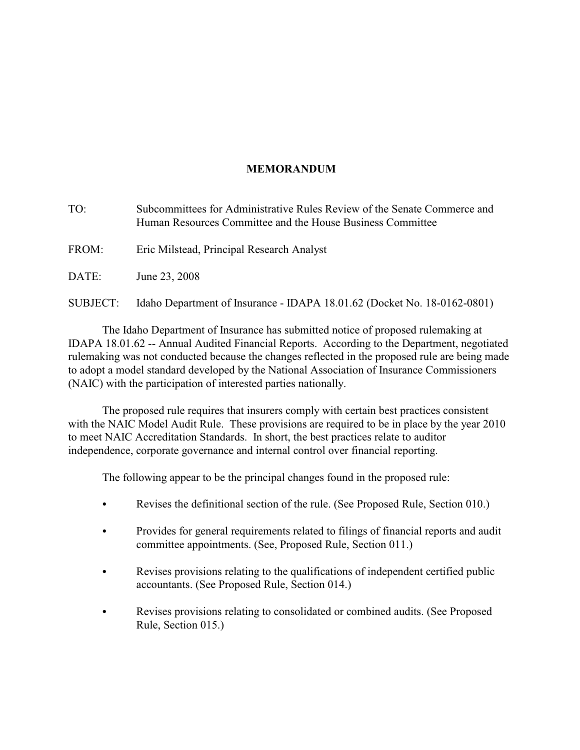# **MEMORANDUM**

TO: Subcommittees for Administrative Rules Review of the Senate Commerce and Human Resources Committee and the House Business Committee FROM: Eric Milstead, Principal Research Analyst DATE: June 23, 2008

SUBJECT: Idaho Department of Insurance - IDAPA 18.01.62 (Docket No. 18-0162-0801)

The Idaho Department of Insurance has submitted notice of proposed rulemaking at IDAPA 18.01.62 -- Annual Audited Financial Reports. According to the Department, negotiated rulemaking was not conducted because the changes reflected in the proposed rule are being made to adopt a model standard developed by the National Association of Insurance Commissioners (NAIC) with the participation of interested parties nationally.

The proposed rule requires that insurers comply with certain best practices consistent with the NAIC Model Audit Rule. These provisions are required to be in place by the year 2010 to meet NAIC Accreditation Standards. In short, the best practices relate to auditor independence, corporate governance and internal control over financial reporting.

The following appear to be the principal changes found in the proposed rule:

- Revises the definitional section of the rule. (See Proposed Rule, Section 010.)
- Provides for general requirements related to filings of financial reports and audit committee appointments. (See, Proposed Rule, Section 011.)
- Revises provisions relating to the qualifications of independent certified public accountants. (See Proposed Rule, Section 014.)
- C Revises provisions relating to consolidated or combined audits. (See Proposed Rule, Section 015.)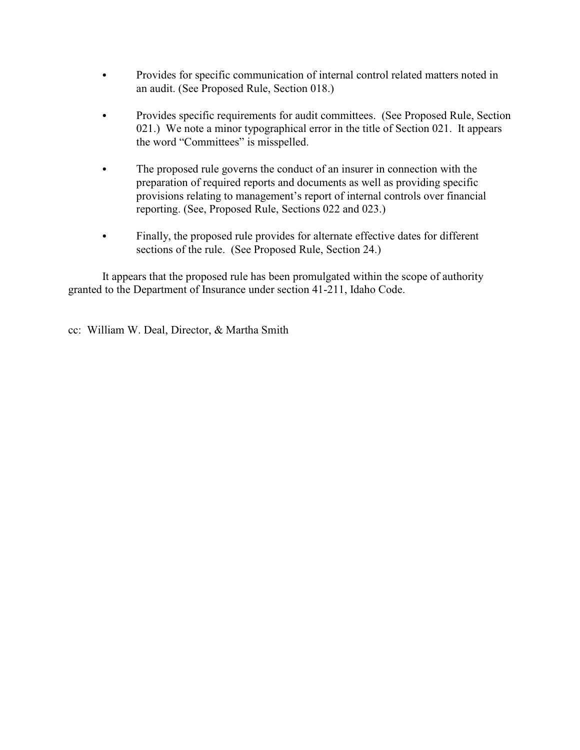- Provides for specific communication of internal control related matters noted in an audit. (See Proposed Rule, Section 018.)
- Provides specific requirements for audit committees. (See Proposed Rule, Section 021.) We note a minor typographical error in the title of Section 021. It appears the word "Committees" is misspelled.
- The proposed rule governs the conduct of an insurer in connection with the preparation of required reports and documents as well as providing specific provisions relating to management's report of internal controls over financial reporting. (See, Proposed Rule, Sections 022 and 023.)
- Finally, the proposed rule provides for alternate effective dates for different sections of the rule. (See Proposed Rule, Section 24.)

It appears that the proposed rule has been promulgated within the scope of authority granted to the Department of Insurance under section 41-211, Idaho Code.

cc: William W. Deal, Director, & Martha Smith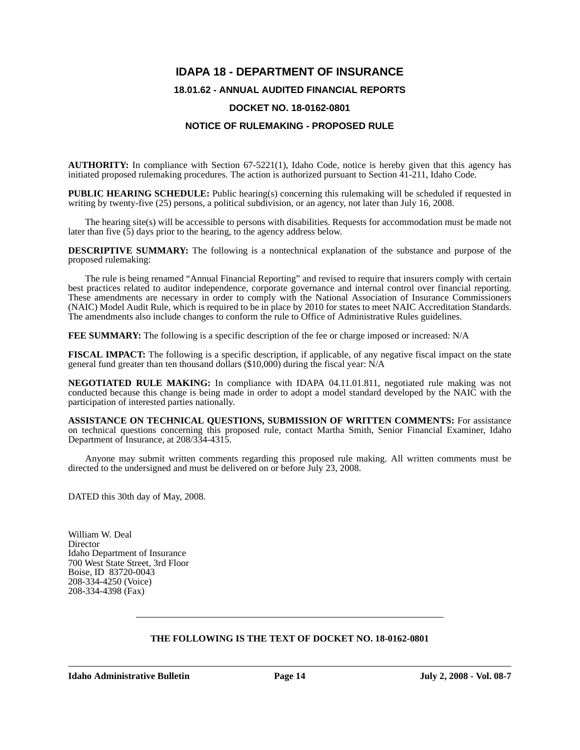# **IDAPA 18 - DEPARTMENT OF INSURANCE**

## **18.01.62 - ANNUAL AUDITED FINANCIAL REPORTS**

#### **DOCKET NO. 18-0162-0801**

#### **NOTICE OF RULEMAKING - PROPOSED RULE**

**AUTHORITY:** In compliance with Section 67-5221(1), Idaho Code, notice is hereby given that this agency has initiated proposed rulemaking procedures. The action is authorized pursuant to Section 41-211, Idaho Code.

**PUBLIC HEARING SCHEDULE:** Public hearing(s) concerning this rulemaking will be scheduled if requested in writing by twenty-five (25) persons, a political subdivision, or an agency, not later than July 16, 2008.

The hearing site(s) will be accessible to persons with disabilities. Requests for accommodation must be made not later than five  $(5)$  days prior to the hearing, to the agency address below.

**DESCRIPTIVE SUMMARY:** The following is a nontechnical explanation of the substance and purpose of the proposed rulemaking:

The rule is being renamed "Annual Financial Reporting" and revised to require that insurers comply with certain best practices related to auditor independence, corporate governance and internal control over financial reporting. These amendments are necessary in order to comply with the National Association of Insurance Commissioners (NAIC) Model Audit Rule, which is required to be in place by 2010 for states to meet NAIC Accreditation Standards. The amendments also include changes to conform the rule to Office of Administrative Rules guidelines.

**FEE SUMMARY:** The following is a specific description of the fee or charge imposed or increased: N/A

**FISCAL IMPACT:** The following is a specific description, if applicable, of any negative fiscal impact on the state general fund greater than ten thousand dollars (\$10,000) during the fiscal year: N/A

**NEGOTIATED RULE MAKING:** In compliance with IDAPA 04.11.01.811, negotiated rule making was not conducted because this change is being made in order to adopt a model standard developed by the NAIC with the participation of interested parties nationally.

**ASSISTANCE ON TECHNICAL QUESTIONS, SUBMISSION OF WRITTEN COMMENTS:** For assistance on technical questions concerning this proposed rule, contact Martha Smith, Senior Financial Examiner, Idaho Department of Insurance, at 208/334-4315.

Anyone may submit written comments regarding this proposed rule making. All written comments must be directed to the undersigned and must be delivered on or before July 23, 2008.

DATED this 30th day of May, 2008.

William W. Deal **Director** Idaho Department of Insurance 700 West State Street, 3rd Floor Boise, ID 83720-0043 208-334-4250 (Voice) 208-334-4398 (Fax)

## **THE FOLLOWING IS THE TEXT OF DOCKET NO. 18-0162-0801**

**Idaho Administrative Bulletin Page 14 July 2, 2008 - Vol. 08-7**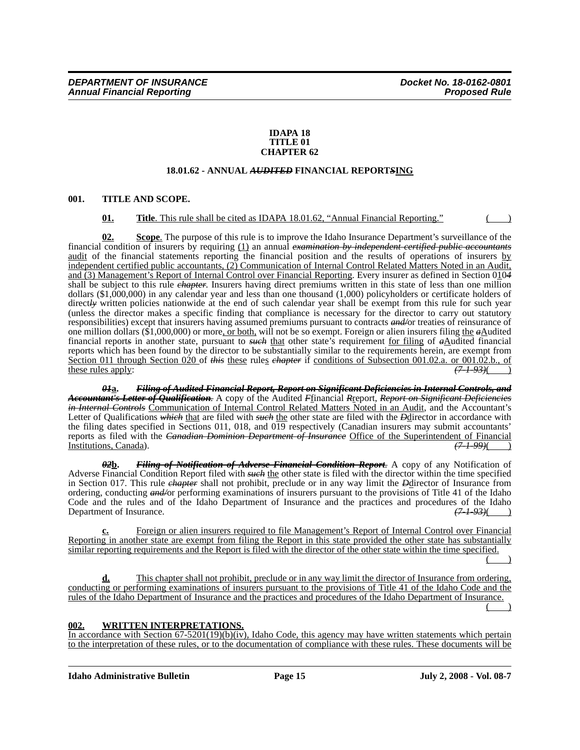#### **IDAPA 18 TITLE 01 CHAPTER 62**

## **18.01.62 - ANNUAL** *AUDITED* **FINANCIAL REPORT***S***ING**

#### **001. TITLE AND SCOPE.**

## **01. Title**. This rule shall be cited as IDAPA 18.01.62, "Annual Financial Reporting."

**02. Scope**. The purpose of this rule is to improve the Idaho Insurance Department's surveillance of the financial condition of insurers by requiring (1) an annual *examination by independent certified public accountants* audit of the financial statements reporting the financial position and the results of operations of insurers by independent certified public accountants, (2) Communication of Internal Control Related Matters Noted in an Audit, and (3) Management's Report of Internal Control over Financial Reporting. Every insurer as defined in Section 010*4* shall be subject to this rule *chapter*. Insurers having direct premiums written in this state of less than one million dollars (\$1,000,000) in any calendar year and less than one thousand (1,000) policyholders or certificate holders of direct<del>/y</del> written policies nationwide at the end of such calendar year shall be exempt from this rule for such year (unless the director makes a specific finding that compliance is necessary for the director to carry out statutory responsibilities) except that insurers having assumed premiums pursuant to contracts *and/*or treaties of reinsurance of one million dollars (\$1,000,000) or more, or both, will not be so exempt. Foreign or alien insurers filing the *a*Audited financial report*s* in another state, pursuant to *such* that other state's requirement for filing of *a*Audited financial reports which has been found by the director to be substantially similar to the requirements herein, are exempt from Section 011 through Section 020 of *this* these rules *chapter* if conditions of Subsection 001.02.a. or 001.02.b., of these rules apply:<br>  $\left(7+93\right)$ these rules apply:

*01***a.** *Filing of Audited Financial Report, Report on Significant Deficiencies in Internal Controls, and Accountant's Letter of Qualification.* A copy of the Audited *F*financial *R*report, *Report on Significant Deficiencies in Internal Controls* Communication of Internal Control Related Matters Noted in an Audit, and the Accountant's Letter of Qualifications *which* that are filed with *such* the other state are filed with the *D*director in accordance with the filing dates specified in Sections 011, 018, and 019 respectively (Canadian insurers may submit accountants' reports as filed with the *Canadian Dominion Department of Insurance* Office of the Superintendent of Financial Institutions, Canada). Institutions, Canada).

*02***b.** *Filing of Notification of Adverse Financial Condition Report.* A copy of any Notification of Adverse Financial Condition Report filed with *such* the other state is filed with the director within the time specified in Section 017. This rule *chapter* shall not prohibit, preclude or in any way limit the *D*director of Insurance from ordering, conducting *and/*or performing examinations of insurers pursuant to the provisions of Title 41 of the Idaho Code and the rules and of the Idaho Department of Insurance and the practices and procedures of the Idaho Department of Insurance.  $\frac{(7-1-93)}{(7-1-93)}$ Department of Insurance.

Foreign or alien insurers required to file Management's Report of Internal Control over Financial Reporting in another state are exempt from filing the Report in this state provided the other state has substantially similar reporting requirements and the Report is filed with the director of the other state within the time specified.

 $($  )

**d.** This chapter shall not prohibit, preclude or in any way limit the director of Insurance from ordering, conducting or performing examinations of insurers pursuant to the provisions of Title 41 of the Idaho Code and the rules of the Idaho Department of Insurance and the practices and procedures of the Idaho Department of Insurance.

 $($  )

# **002. WRITTEN INTERPRETATIONS.**

In accordance with Section  $67-5201(19)(b)(iv)$ , Idaho Code, this agency may have written statements which pertain to the interpretation of these rules, or to the documentation of compliance with these rules. These documents will be

**Idaho Administrative Bulletin Page 15 July 2, 2008 - Vol. 08-7**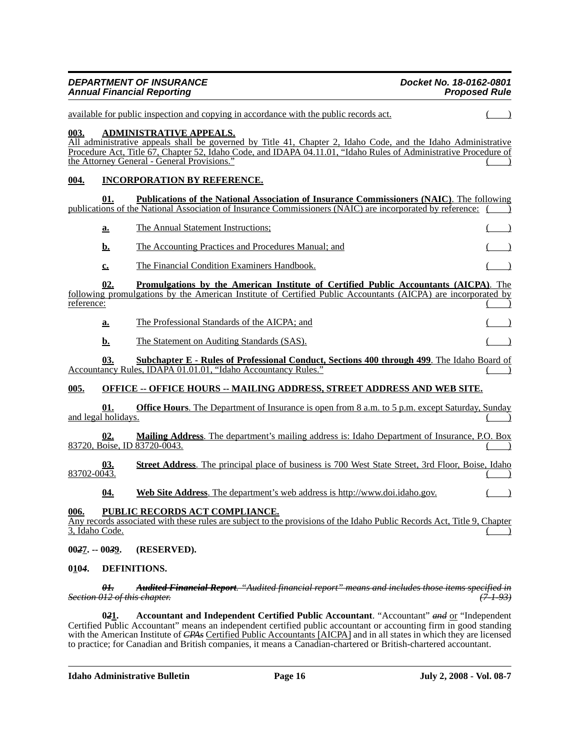|             | <b>DEPARTMENT OF INSURANCE</b><br><b>Annual Financial Reporting</b> | Docket No. 18-0162-0801<br><b>Proposed Rule</b>                                                                                                                                                                                                                                                                    |                     |  |
|-------------|---------------------------------------------------------------------|--------------------------------------------------------------------------------------------------------------------------------------------------------------------------------------------------------------------------------------------------------------------------------------------------------------------|---------------------|--|
|             |                                                                     | available for public inspection and copying in accordance with the public records act.                                                                                                                                                                                                                             |                     |  |
| 003.        |                                                                     | <b>ADMINISTRATIVE APPEALS.</b><br>All administrative appeals shall be governed by Title 41, Chapter 2, Idaho Code, and the Idaho Administrative<br>Procedure Act, Title 67, Chapter 52, Idaho Code, and IDAPA 04.11.01, "Idaho Rules of Administrative Procedure of<br>the Attorney General - General Provisions." |                     |  |
| 004.        |                                                                     | <b>INCORPORATION BY REFERENCE.</b>                                                                                                                                                                                                                                                                                 |                     |  |
|             | 01.                                                                 | <b>Publications of the National Association of Insurance Commissioners (NAIC).</b> The following<br>publications of the National Association of Insurance Commissioners (NAIC) are incorporated by reference:                                                                                                      |                     |  |
|             | a.                                                                  | The Annual Statement Instructions;                                                                                                                                                                                                                                                                                 |                     |  |
|             | <u>b.</u>                                                           | The Accounting Practices and Procedures Manual; and                                                                                                                                                                                                                                                                |                     |  |
|             | <u>c.</u>                                                           | The Financial Condition Examiners Handbook.                                                                                                                                                                                                                                                                        |                     |  |
| reference:  | 02.                                                                 | <b>Promulgations by the American Institute of Certified Public Accountants (AICPA).</b> The<br>following promulgations by the American Institute of Certified Public Accountants (AICPA) are incorporated by                                                                                                       |                     |  |
|             | <u>a.</u>                                                           | The Professional Standards of the AICPA; and                                                                                                                                                                                                                                                                       |                     |  |
|             | b.                                                                  | The Statement on Auditing Standards (SAS).                                                                                                                                                                                                                                                                         |                     |  |
|             | 03.                                                                 | <b>Subchapter E - Rules of Professional Conduct, Sections 400 through 499.</b> The Idaho Board of<br>Accountancy Rules, IDAPA 01.01.01, "Idaho Accountancy Rules."                                                                                                                                                 |                     |  |
| 005.        |                                                                     | <b>OFFICE -- OFFICE HOURS -- MAILING ADDRESS, STREET ADDRESS AND WEB SITE.</b>                                                                                                                                                                                                                                     |                     |  |
|             | 01.<br>and legal $\overline{\text{hol}}$ days.                      | <b>Office Hours.</b> The Department of Insurance is open from 8 a.m. to 5 p.m. except Saturday, Sunday                                                                                                                                                                                                             |                     |  |
|             | 02.                                                                 | <b>Mailing Address.</b> The department's mailing address is: Idaho Department of Insurance, P.O. Box<br>83720, Boise, ID 83720-0043.                                                                                                                                                                               |                     |  |
| 83702-0043. | 03.                                                                 | Street Address. The principal place of business is 700 West State Street, 3rd Floor, Boise, Idaho                                                                                                                                                                                                                  |                     |  |
|             | <u>04.</u>                                                          | Web Site Address. The department's web address is http://www.doi.idaho.gov.                                                                                                                                                                                                                                        |                     |  |
| 006.        | 3, Idaho Code.                                                      | PUBLIC RECORDS ACT COMPLIANCE.<br>Any records associated with these rules are subject to the provisions of the Idaho Public Records Act, Title 9, Chapter                                                                                                                                                          |                     |  |
|             | $0027. - 0039.$                                                     | (RESERVED).                                                                                                                                                                                                                                                                                                        |                     |  |
| 0104.       |                                                                     | DEFINITIONS.                                                                                                                                                                                                                                                                                                       |                     |  |
|             | θł.                                                                 | <b>Audited Financial Report.</b> "Audited financial report" means and includes those items specified in<br>Section 012 of this chapter.                                                                                                                                                                            | <del>(7-1-93)</del> |  |

**0***2***1. Accountant and Independent Certified Public Accountant**. "Accountant" *and* or "Independent Certified Public Accountant" means an independent certified public accountant or accounting firm in good standing with the American Institute of *CPAs* Certified Public Accountants [AICPA] and in all states in which they are licensed to practice; for Canadian and British companies, it means a Canadian-chartered or British-chartered accountant.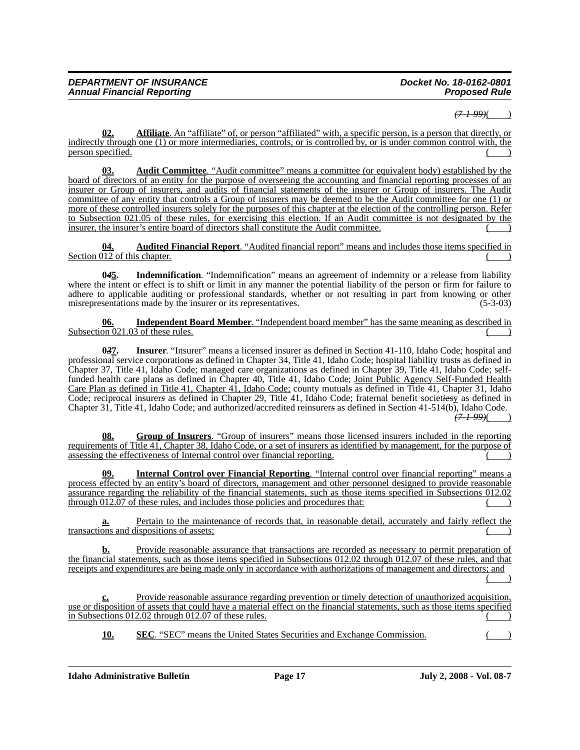## *(7-1-99)*( )

**02. Affiliate**. An "affiliate" of, or person "affiliated" with, a specific person, is a person that directly, or indirectly through one (1) or more intermediaries, controls, or is controlled by, or is under common control with, the person specified.

**03. Audit Committee**. "Audit committee" means a committee (or equivalent body) established by the board of directors of an entity for the purpose of overseeing the accounting and financial reporting processes of an insurer or Group of insurers, and audits of financial statements of the insurer or Group of insurers. The Audit committee of any entity that controls a Group of insurers may be deemed to be the Audit committee for one (1) or more of these controlled insurers solely for the purposes of this chapter at the election of the controlling person. Refer to Subsection 021.05 of these rules, for exercising this election. If an Audit committee is not designated by the insurer, the insurer's entire board of directors shall constitute the Audit committee.

**04. Audited Financial Report**. "Audited financial report" means and includes those items specified in Section  $\overline{012}$  of this chapter.

**0***4***5. Indemnification**. "Indemnification" means an agreement of indemnity or a release from liability where the intent or effect is to shift or limit in any manner the potential liability of the person or firm for failure to adhere to applicable auditing or professional standards, whether or not resulting in part from knowing or other misrepresentations made by the insurer or its representatives. (5-3-03)

**06. Independent Board Member**. "Independent board member" has the same meaning as described in Subsection  $021.03$  of these rules.

**0***3***7. Insurer**. "Insurer" means a licensed insurer as defined in Section 41-110, Idaho Code; hospital and professional service corporation*s* as defined in Chapter 34, Title 41, Idaho Code; hospital liability trust*s* as defined in Chapter 37, Title 41, Idaho Code; managed care organization*s* as defined in Chapter 39, Title 41, Idaho Code; selffunded health care plans as defined in Chapter 40, Title 41, Idaho Code; Joint Public Agency Self-Funded Health Care Plan as defined in Title 41, Chapter 41, Idaho Code; county mutual*s* as defined in Title 41, Chapter 31, Idaho Code; reciprocal insurer*s* as defined in Chapter 29, Title 41, Idaho Code; fraternal benefit societ*ies*y as defined in Chapter 31, Title 41, Idaho Code; and authorized/accredited reinsurer*s* as defined in Section 41-514(b), Idaho Code. *(7-1-99)*( )

**08. Group of Insurers**. "Group of insurers" means those licensed insurers included in the reporting requirements of Title 41, Chapter 38, Idaho Code, or a set of insurers as identified by management, for the purpose of assessing the effectiveness of Internal control over financial reporting.

**09. Internal Control over Financial Reporting**. "Internal control over financial reporting" means a process effected by an entity's board of directors, management and other personnel designed to provide reasonable assurance regarding the reliability of the financial statements, such as those items specified in Subsections 012.02 through 012.07 of these rules, and includes those policies and procedures that:

Pertain to the maintenance of records that, in reasonable detail, accurately and fairly reflect the transactions and dispositions of assets;

**b.** Provide reasonable assurance that transactions are recorded as necessary to permit preparation of the financial statements, such as those items specified in Subsections 012.02 through 012.07 of these rules, and that receipts and expenditures are being made only in accordance with authorizations of management and directors; and

 $($  )

**c.** Provide reasonable assurance regarding prevention or timely detection of unauthorized acquisition, use or disposition of assets that could have a material effect on the financial statements, such as those items specified in Subsections  $012.02$  through  $012.07$  of these rules.

**10. SEC**. "SEC" means the United States Securities and Exchange Commission.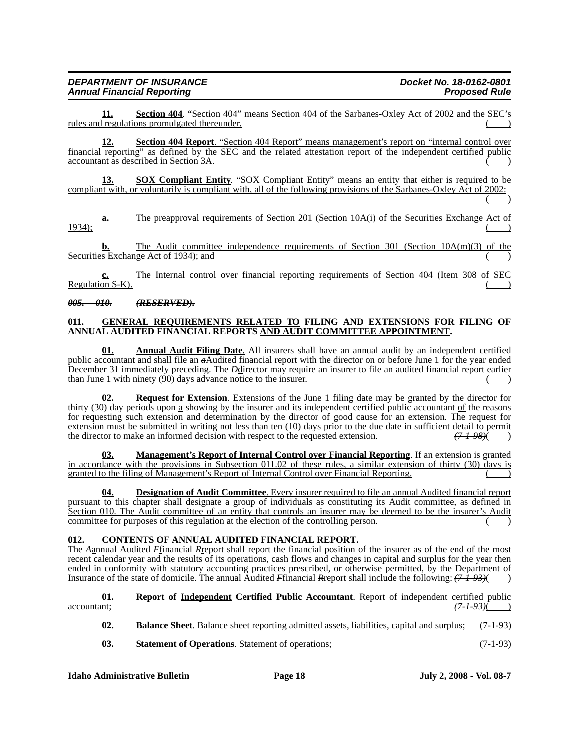## *DEPARTMENT OF INSURANCE Docket No. 18-0162-0801* **Annual Financial Reporting**

**11. Section 404**. "Section 404" means Section 404 of the Sarbanes-Oxley Act of 2002 and the SEC's rules and regulations promulgated thereunder.

**12. Section 404 Report**. "Section 404 Report" means management's report on "internal control over financial reporting" as defined by the SEC and the related attestation report of the independent certified public accountant as described in Section 3A.

**13. SOX Compliant Entity**. "SOX Compliant Entity" means an entity that either is required to be compliant with, or voluntarily is compliant with, all of the following provisions of the Sarbanes-Oxley Act of 2002:  $($ 

**a.** The preapproval requirements of Section 201 (Section 10A(i) of the Securities Exchange Act of 1934); ( )

**b.** The Audit committee independence requirements of Section 301 (Section 10A(m)(3) of the Securities Exchange Act of 1934); and

**c.** The Internal control over financial reporting requirements of Section 404 (Item 308 of SEC Regulation S-K).

#### *005. -- 010. (RESERVED).*

#### **011. GENERAL REQUIREMENTS RELATED TO FILING AND EXTENSIONS FOR FILING OF ANNUAL AUDITED FINANCIAL REPORTS AND AUDIT COMMITTEE APPOINTMENT.**

**01. Annual Audit Filing Date**. All insurers shall have an annual audit by an independent certified public accountant and shall file an  $a\Delta$ udited financial report with the director on or before June 1 for the year ended December 31 immediately preceding. The *D*director may require an insurer to file an audited financial report earlier than June 1 with ninety  $(90)$  days advance notice to the insurer.

**Request for Extension.** Extensions of the June 1 filing date may be granted by the director for thirty (30) day periods upon a showing by the insurer and its independent certified public accountant of the reasons for requesting such extension and determination by the director of good cause for an extension. The request for extension must be submitted in writing not less than ten (10) days prior to the due date in sufficient detail to permit the director to make an informed decision with respect to the requested extension.  $(7.198)(7.198)(7.19$ the director to make an informed decision with respect to the requested extension.  $(7.1-98)$   $(7.1-98)$ 

**03. Management's Report of Internal Control over Financial Reporting**. If an extension is granted in accordance with the provisions in Subsection 011.02 of these rules, a similar extension of thirty (30) days is granted to the filing of Management's Report of Internal Control over Financial Reporting.

**Designation of Audit Committee**. Every insurer required to file an annual Audited financial report pursuant to this chapter shall designate a group of individuals as constituting its Audit committee, as defined in Section 010. The Audit committee of an entity that controls an insurer may be deemed to be the insurer's Audit committee for purposes of this regulation at the election of the controlling person.

## **012. CONTENTS OF ANNUAL AUDITED FINANCIAL REPORT.**

The *A*annual Audited *F*financial *R*report shall report the financial position of the insurer as of the end of the most recent calendar year and the results of its operations, cash flows and changes in capital and surplus for the year then ended in conformity with statutory accounting practices prescribed, or otherwise permitted, by the Department of Insurance of the state of domicile. The annual Audited *F*financial *R*report shall include the following: *(7-1-93)*( )

**01.** Report of <u>Independent</u> Certified Public Accountant. Report of independent certified public  $\frac{(71.93)}{(71.93)}$  $\frac{(71.93)()}{}$ 

- **02. Balance Sheet**. Balance sheet reporting admitted assets, liabilities, capital and surplus; (7-1-93)
- **03. Statement of Operations**. Statement of operations; (7-1-93)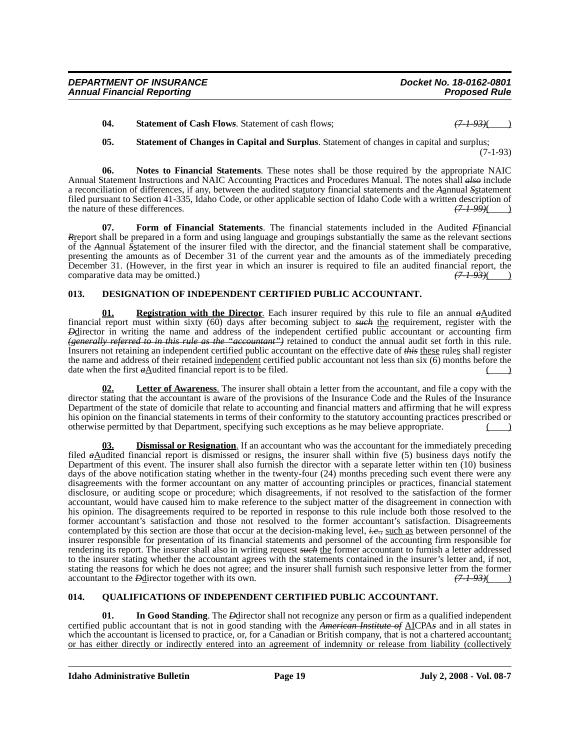**04.** Statement of Cash Flows. Statement of cash flows;

**05. Statement of Changes in Capital and Surplus**. Statement of changes in capital and surplus; (7-1-93)

**06. Notes to Financial Statements**. These notes shall be those required by the appropriate NAIC Annual Statement Instructions and NAIC Accounting Practices and Procedures Manual. The notes shall *also* include a reconciliation of differences, if any, between the audited statutory financial statements and the *A*annual *S*statement filed pursuant to Section 41-335, Idaho Code, or other applicable section of Idaho Code with a written description of the nature of these differences.  $(71-99)$  ( the nature of these differences.

**07. Form of Financial Statements**. The financial statements included in the Audited *F*financial *R*report shall be prepared in a form and using language and groupings substantially the same as the relevant sections of the *A*annual *S*statement of the insurer filed with the director, and the financial statement shall be comparative, presenting the amounts as of December 31 of the current year and the amounts as of the immediately preceding December 31. (However, in the first year in which an insurer is required to file an audited financial report, the comparative data may be omitted.)  $(7-1-93)($ comparative data may be omitted.)

## **013. DESIGNATION OF INDEPENDENT CERTIFIED PUBLIC ACCOUNTANT.**

**01. Registration with the Director**. Each insurer required by this rule to file an annual  $a\Delta u$  dited financial report must within sixty (60) days after becoming subject to *such* the requirement, register with the *Pedirector* in writing the name and address of the independent certified public accountant or accounting firm *(generally referred to in this rule as the "accountant")* retained to conduct the annual audit set forth in this rule. Insurers not retaining an independent certified public accountant on the effective date of *this* these rules shall register the name and address of their retained independent certified public accountant not less than six (6) months before the date when the first  $a\Delta$ udited financial report is to be filed.

**Letter of Awareness**. The insurer shall obtain a letter from the accountant, and file a copy with the director stating that the accountant is aware of the provisions of the Insurance Code and the Rules of the Insurance Department of the state of domicile that relate to accounting and financial matters and affirming that he will express his opinion on the financial statements in terms of their conformity to the statutory accounting practices prescribed or otherwise permitted by that Department, specifying such exceptions as he may believe appropriate. ( )

**03. Dismissal or Resignation**. If an accountant who was the accountant for the immediately preceding filed *a*Audited financial report is dismissed or resigns, the insurer shall within five (5) business days notify the Department of this event. The insurer shall also furnish the director with a separate letter within ten (10) business days of the above notification stating whether in the twenty-four (24) months preceding such event there were any disagreements with the former accountant on any matter of accounting principles or practices, financial statement disclosure, or auditing scope or procedure; which disagreements, if not resolved to the satisfaction of the former accountant, would have caused him to make reference to the subject matter of the disagreement in connection with his opinion. The disagreements required to be reported in response to this rule include both those resolved to the former accountant's satisfaction and those not resolved to the former accountant's satisfaction. Disagreements contemplated by this section are those that occur at the decision-making level, *i.e.,* such as between personnel of the insurer responsible for presentation of its financial statements and personnel of the accounting firm responsible for rendering its report. The insurer shall also in writing request *such* the former accountant to furnish a letter addressed to the insurer stating whether the accountant agrees with the statements contained in the insurer's letter and, if not, stating the reasons for which he does not agree; and the insurer shall furnish such responsive letter from the former accountant to the *D*-director together with its own.  $(71-93)($ accountant to the *D***director** together with its own.

## **014. QUALIFICATIONS OF INDEPENDENT CERTIFIED PUBLIC ACCOUNTANT.**

**01.** In Good Standing. The *Pelirector shall not recognize any person or firm as a qualified independent* certified public accountant that is not in good standing with the *American Institute of* AICPA*s* and in all states in which the accountant is licensed to practice, or, for a Canadian or British company, that is not a chartered accountant; or has either directly or indirectly entered into an agreement of indemnity or release from liability (collectively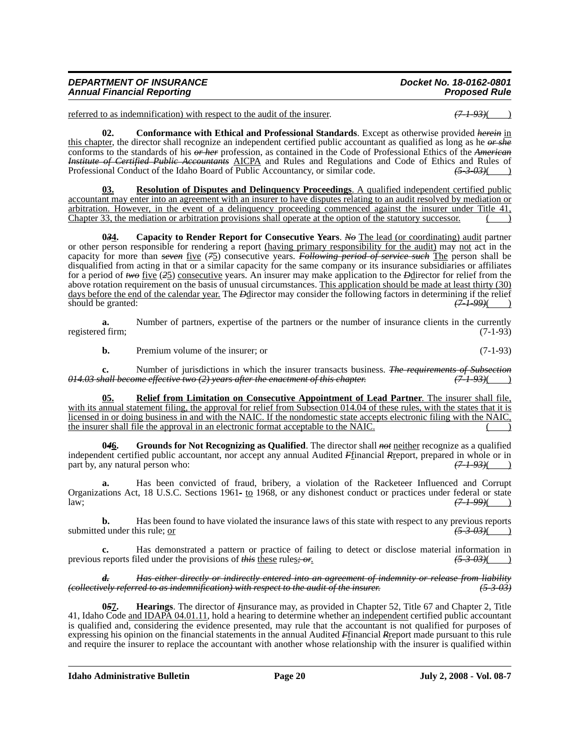| <b>DEPARTMENT OF INSURANCE</b>    | Docket No. 18-0162-0801 |
|-----------------------------------|-------------------------|
| <b>Annual Financial Reporting</b> | <b>Proposed Rule</b>    |

referred to as indemnification) with respect to the audit of the insurer.  $(7-1-93)($ 

**02. Conformance with Ethical and Professional Standards**. Except as otherwise provided *herein* in this chapter, the director shall recognize an independent certified public accountant as qualified as long as he *or she* conforms to the standards of his *or her* profession, as contained in the Code of Professional Ethics of the *American Institute of Certified Public Accountants* AICPA and Rules and Regulations and Code of Ethics and Rules of Professional Conduct of the Idaho Board of Public Accountancy, or similar code.  $\left(5-3-03\right)$ Professional Conduct of the Idaho Board of Public Accountancy, or similar code.  $\frac{(5-3-0.3)()}{(5-3-0.3)()}$ 

**03. Resolution of Disputes and Delinquency Proceedings**. A qualified independent certified public accountant may enter into an agreement with an insurer to have disputes relating to an audit resolved by mediation or arbitration. However, in the event of a delinquency proceeding commenced against the insurer under Title 41, Chapter 33, the mediation or arbitration provisions shall operate at the option of the statutory successor.

**0***3***4. Capacity to Render Report for Consecutive Years**. *No* The lead (or coordinating) audit partner or other person responsible for rendering a report (having primary responsibility for the audit) may not act in the capacity for more than *seven* five (*7*5) consecutive years. *Following period of service such* The person shall be disqualified from acting in that or a similar capacity for the same company or its insurance subsidiaries or affiliates for a period of *two* five (*2*5) consecutive years. An insurer may make application to the *D*director for relief from the above rotation requirement on the basis of unusual circumstances. This application should be made at least thirty (30) days before the end of the calendar year. The *D*director may consider the following factors in determining if the relief should be granted:<br>(7-1-99)( should be granted:

**a.** Number of partners, expertise of the partners or the number of insurance clients in the currently registered firm; (7-1-93)

**b.** Premium volume of the insurer; or (7-1-93)

**c.** Number of jurisdictions in which the insurer transacts business. *The requirements of Subsection 014.03 shall become effective two (2) years after the enactment of this chapter. (7-1-93)*( )

**05. Relief from Limitation on Consecutive Appointment of Lead Partner**. The insurer shall file, with its annual statement filing, the approval for relief from Subsection 014.04 of these rules, with the states that it is licensed in or doing business in and with the NAIC. If the nondomestic state accepts electronic filing with the NAIC, the insurer shall file the approval in an electronic format acceptable to the NAIC.

**0***4***6. Grounds for Not Recognizing as Qualified**. The director shall *not* neither recognize as a qualified independent certified public accountant, nor accept any annual Audited *F*financial *R*report, prepared in whole or in part by, any natural person who:  $(71.93)($ part by, any natural person who:

**a.** Has been convicted of fraud, bribery, a violation of the Racketeer Influenced and Corrupt Organizations Act, 18 U.S.C. Sections 1961*-* to 1968, or any dishonest conduct or practices under federal or state law; *(7-1-99)*( )

**b.** Has been found to have violated the insurance laws of this state with respect to any previous reports d under this rule; <u>or</u>  $\frac{(5-3-0.3)()}{(5-3-0.3)()}$ submitted under this rule; or

**c.** Has demonstrated a pattern or practice of failing to detect or disclose material information in previous reports filed under the provisions of *this* these rules*; or*. *(5-3-03)*( )

*d. Has either directly or indirectly entered into an agreement of indemnity or release from liability (collectively referred to as indemnification) with respect to the audit of the insurer. (5-3-03)*

**0***5***7. Hearings**. The director of *I*insurance may, as provided in Chapter 52, Title 67 and Chapter 2, Title 41, Idaho Code and IDAPA 04.01.11, hold a hearing to determine whether an independent certified public accountant is qualified and, considering the evidence presented, may rule that the accountant is not qualified for purposes of expressing his opinion on the financial statements in the annual Audited *F*financial *R*report made pursuant to this rule and require the insurer to replace the accountant with another whose relationship with the insurer is qualified within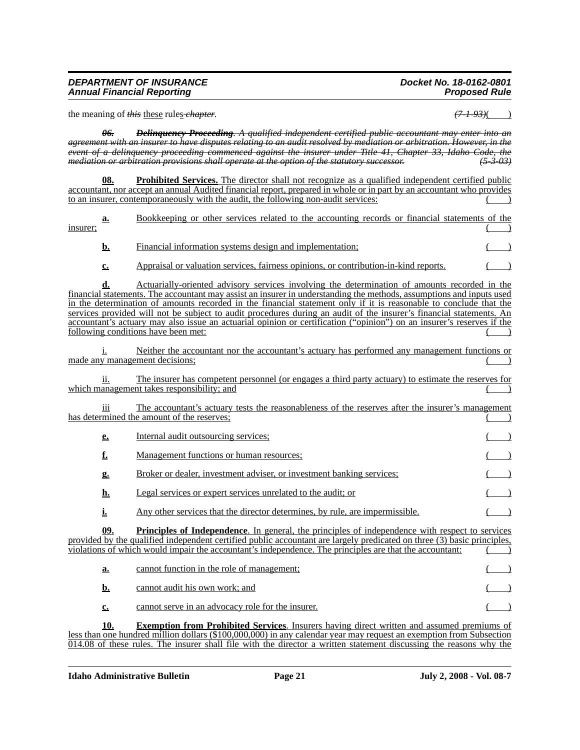#### *DEPARTMENT OF INSURANCE Docket No. 18-0162-0801* **Annual Financial Reporting**

the meaning of *this* these rules*-chapter*.  $(7-1-93)$ (

*06. Delinquency Proceeding. A qualified independent certified public accountant may enter into an agreement with an insurer to have disputes relating to an audit resolved by mediation or arbitration. However, in the event of a delinquency proceeding commenced against the insurer under Title 41, Chapter 33, Idaho Code, the mediation or arbitration provisions shall operate at the option of the statutory successor. (5-3-03)*

**08. Prohibited Services.** The director shall not recognize as a qualified independent certified public accountant, nor accept an annual Audited financial report, prepared in whole or in part by an accountant who provides to an insurer, contemporaneously with the audit, the following non-audit services:

**a.** Bookkeeping or other services related to the accounting records or financial statements of the  $\frac{1}{2}$  insurer; ( )

- **b.** Financial information systems design and implementation;
- **c.** Appraisal or valuation services, fairness opinions, or contribution-in-kind reports.

**d.** Actuarially-oriented advisory services involving the determination of amounts recorded in the financial statements. The accountant may assist an insurer in understanding the methods, assumptions and inputs used in the determination of amounts recorded in the financial statement only if it is reasonable to conclude that the services provided will not be subject to audit procedures during an audit of the insurer's financial statements. An accountant's actuary may also issue an actuarial opinion or certification ("opinion") on an insurer's reserves if the following conditions have been met:

i. Neither the accountant nor the accountant's actuary has performed any management functions or made any management decisions;

ii. The insurer has competent personnel (or engages a third party actuary) to estimate the reserves for which management takes responsibility; and

iii The accountant's actuary tests the reasonableness of the reserves after the insurer's management has determined the amount of the reserves;

**e.** Internal audit outsourcing services; **f.** Management functions or human resources; **g.** Broker or dealer, investment adviser, or investment banking services;  $($ **h.** Legal services or expert services unrelated to the audit; or

**i.** Any other services that the director determines, by rule, are impermissible.

**09. Principles of Independence**. In general, the principles of independence with respect to services provided by the qualified independent certified public accountant are largely predicated on three (3) basic principles, violations of which would impair the accountant's independence. The principles are that the accountant: ( )

| а. | cannot function in the role of management;        |  |
|----|---------------------------------------------------|--|
|    | cannot audit his own work; and                    |  |
|    | cannot serve in an advocacy role for the insurer. |  |

**10. Exemption from Prohibited Services**. Insurers having direct written and assumed premiums of less than one hundred million dollars (\$100,000,000) in any calendar year may request an exemption from Subsection 014.08 of these rules. The insurer shall file with the director a written statement discussing the reasons why the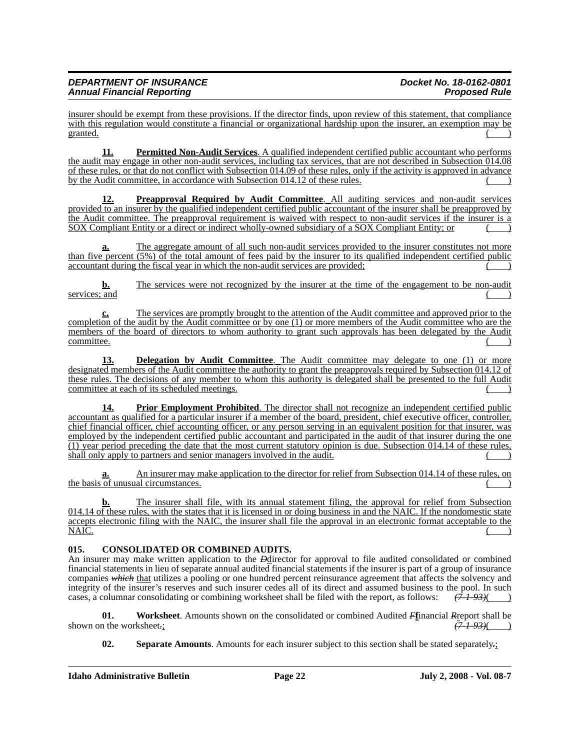insurer should be exempt from these provisions. If the director finds, upon review of this statement, that compliance with this regulation would constitute a financial or organizational hardship upon the insurer, an exemption may be granted.  $($ 

**11. Permitted Non-Audit Services**. A qualified independent certified public accountant who performs the audit may engage in other non-audit services, including tax services, that are not described in Subsection 014.08 of these rules, or that do not conflict with Subsection 014.09 of these rules, only if the activity is approved in advance by the Audit committee, in accordance with Subsection 014.12 of these rules.

**12. Preapproval Required by Audit Committee**. All auditing services and non-audit services provided to an insurer by the qualified independent certified public accountant of the insurer shall be preapproved by the Audit committee. The preapproval requirement is waived with respect to non-audit services if the insurer is a SOX Compliant Entity or a direct or indirect wholly-owned subsidiary of a SOX Compliant Entity; or ( )

**a.** The aggregate amount of all such non-audit services provided to the insurer constitutes not more than five percent (5%) of the total amount of fees paid by the insurer to its qualified independent certified public accountant during the fiscal year in which the non-audit services are provided;

**b.** The services were not recognized by the insurer at the time of the engagement to be non-audit services; and  $($ )

The services are promptly brought to the attention of the Audit committee and approved prior to the completion of the audit by the Audit committee or by one (1) or more members of the Audit committee who are the members of the board of directors to whom authority to grant such approvals has been delegated by the Audit  $\blacksquare$  ) committee.

**13. Delegation by Audit Committee**. The Audit committee may delegate to one (1) or more designated members of the Audit committee the authority to grant the preapprovals required by Subsection 014.12 of these rules. The decisions of any member to whom this authority is delegated shall be presented to the full Audit committee at each of its scheduled meetings.

**14. Prior Employment Prohibited**. The director shall not recognize an independent certified public accountant as qualified for a particular insurer if a member of the board, president, chief executive officer, controller, chief financial officer, chief accounting officer, or any person serving in an equivalent position for that insurer, was employed by the independent certified public accountant and participated in the audit of that insurer during the one (1) year period preceding the date that the most current statutory opinion is due. Subsection 014.14 of these rules, shall only apply to partners and senior managers involved in the audit.

**a.** An insurer may make application to the director for relief from Subsection 014.14 of these rules, on the basis of unusual circumstances.  $($ 

The insurer shall file, with its annual statement filing, the approval for relief from Subsection 014.14 of these rules, with the states that it is licensed in or doing business in and the NAIC. If the nondomestic state accepts electronic filing with the NAIC, the insurer shall file the approval in an electronic format acceptable to the NAIC.  $N$ AIC.  $($ 

## **015. CONSOLIDATED OR COMBINED AUDITS.**

An insurer may make written application to the *D*director for approval to file audited consolidated or combined financial statements in lieu of separate annual audited financial statements if the insurer is part of a group of insurance companies *which* that utilizes a pooling or one hundred percent reinsurance agreement that affects the solvency and integrity of the insurer's reserves and such insurer cedes all of its direct and assumed business to the pool. In such cases, a columnar consolidating or combining worksheet shall be filed with the report, as follows: *(7-1-93)*( )

**01.** Worksheet. Amounts shown on the consolidated or combined Audited *F***f**inancial *R*report shall be the worksheet: shown on the worksheet.;

**02. Separate Amounts**. Amounts for each insurer subject to this section shall be stated separately*.*;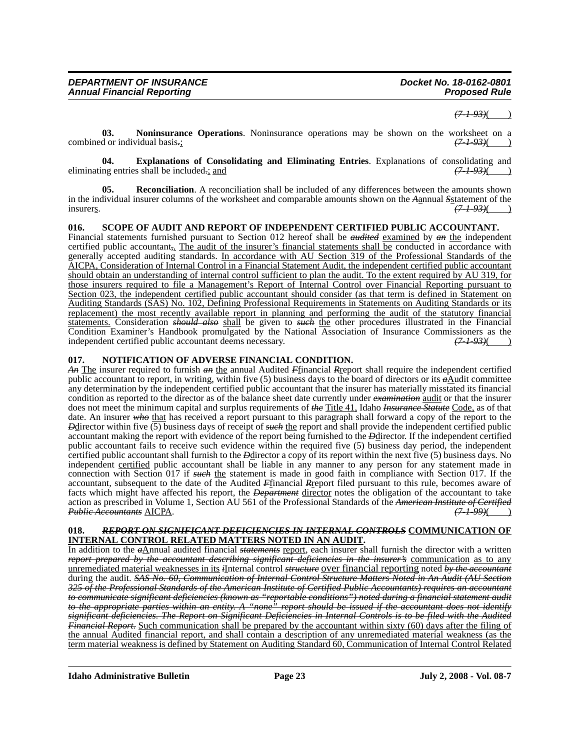*(7-1-93)*( )

**03. Noninsurance Operations**. Noninsurance operations may be shown on the worksheet on a combined or individual basis.;  $(7-1-93)$ 

**04.** Explanations of Consolidating and Eliminating Entries. Explanations of consolidating and ng entries shall be included<sub>r</sub>; and eliminating entries shall be included*.*; and *(7-1-93)*( )

**05. Reconciliation**. A reconciliation shall be included of any differences between the amounts shown in the individual insurer columns of the worksheet and comparable amounts shown on the *A*annual *S*<sub>statement of the insurers.  $(71.93)($ </sub> insurers. *(7-1-93)*( )

**016. SCOPE OF AUDIT AND REPORT OF INDEPENDENT CERTIFIED PUBLIC ACCOUNTANT.**

Financial statements furnished pursuant to Section 012 hereof shall be *audited* examined by *an* the independent certified public accountant*,*. The audit of the insurer's financial statements shall be conducted in accordance with generally accepted auditing standards. In accordance with AU Section 319 of the Professional Standards of the AICPA, Consideration of Internal Control in a Financial Statement Audit, the independent certified public accountant should obtain an understanding of internal control sufficient to plan the audit. To the extent required by AU 319, for those insurers required to file a Management's Report of Internal Control over Financial Reporting pursuant to Section 023, the independent certified public accountant should consider (as that term is defined in Statement on Auditing Standards (SAS) No. 102, Defining Professional Requirements in Statements on Auditing Standards or its replacement) the most recently available report in planning and performing the audit of the statutory financial statements. Consideration *should also* shall be given to *such* the other procedures illustrated in the Financial Condition Examiner's Handbook promulgated by the National Association of Insurance Commissioners as the independent certified public accountant deems necessary.  $(7-1-93)($ independent certified public accountant deems necessary. *(7-1-93)*( )

#### **017. NOTIFICATION OF ADVERSE FINANCIAL CONDITION.**

*An* The insurer required to furnish *an* the annual Audited *F*financial *R*report shall require the independent certified public accountant to report, in writing, within five  $(5)$  business days to the board of directors or its  $\vec{a}$ Audit committee any determination by the independent certified public accountant that the insurer has materially misstated its financial condition as reported to the director as of the balance sheet date currently under *examination* audit or that the insurer does not meet the minimum capital and surplus requirements of *the* Title 41, Idaho *Insurance Statute* Code, as of that date. An insurer who that has received a report pursuant to this paragraph shall forward a copy of the report to the *Deliversion within five* (5) business days of receipt of *such* the report and shall provide the independent certified public accountant making the report with evidence of the report being furnished to the *D*director. If the independent certified public accountant fails to receive such evidence within the required five (5) business day period, the independent certified public accountant shall furnish to the *D*director a copy of its report within the next five (5) business days. No independent certified public accountant shall be liable in any manner to any person for any statement made in connection with Section 017 if *such* the statement is made in good faith in compliance with Section 017. If the accountant, subsequent to the date of the Audited *F*financial *R*report filed pursuant to this rule, becomes aware of facts which might have affected his report, the *Department* director notes the obligation of the accountant to take action as prescribed in Volume 1, Section AU 561 of the Professional Standards of the *American Institute of Certified Public Accountants* AICPA.

#### **018.** *REPORT ON SIGNIFICANT DEFICIENCIES IN INTERNAL CONTROLS* **COMMUNICATION OF INTERNAL CONTROL RELATED MATTERS NOTED IN AN AUDIT.**

In addition to the *a*Annual audited financial *statements* report, each insurer shall furnish the director with a written *report prepared by the accountant describing significant deficiencies in the insurer's* communication as to any unremediated material weaknesses in its *i*Internal control *structure* over financial reporting noted *by the accountant* during the audit. *SAS No. 60, Communication of Internal Control Structure Matters Noted in An Audit (AU Section 325 of the Professional Standards of the American Institute of Certified Public Accountants) requires an accountant to communicate significant deficiencies (known as "reportable conditions") noted during a financial statement audit to the appropriate parties within an entity. A "none" report should be issued if the accountant does not identify significant deficiencies. The Report on Significant Deficiencies in Internal Controls is to be filed with the Audited Financial Report.* Such communication shall be prepared by the accountant within sixty (60) days after the filing of the annual Audited financial report, and shall contain a description of any unremediated material weakness (as the term material weakness is defined by Statement on Auditing Standard 60, Communication of Internal Control Related

**Idaho Administrative Bulletin Page 23 July 2, 2008 - Vol. 08-7**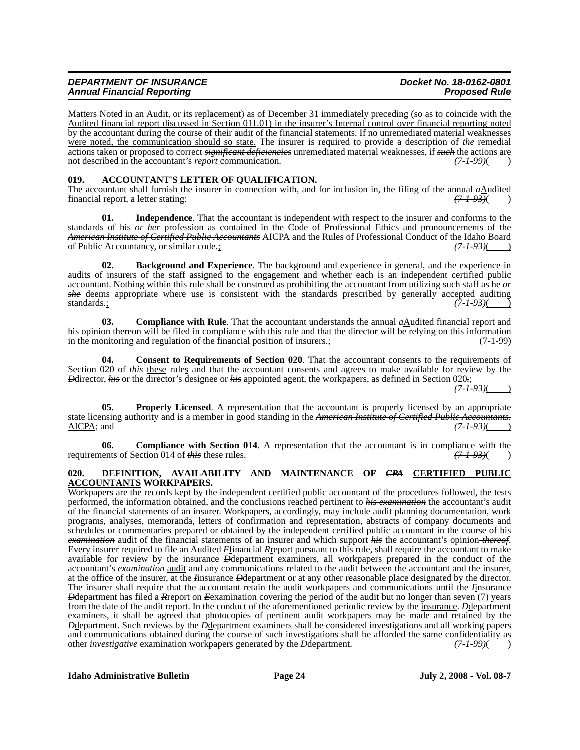## *DEPARTMENT OF INSURANCE Docket No. 18-0162-0801* **Annual Financial Reporting**

Matters Noted in an Audit, or its replacement) as of December 31 immediately preceding (so as to coincide with the Audited financial report discussed in Section 011.01) in the insurer's Internal control over financial reporting noted by the accountant during the course of their audit of the financial statements. If no unremediated material weaknesses were noted, the communication should so state. The insurer is required to provide a description of *the* remedial actions taken or proposed to correct *significant deficiencies* <u>unremediated material weaknesses</u>, if *such* the actions are not described in the accountant's *report* communication. (7-1-99)(4) not described in the accountant's *report* communication.

## **019. ACCOUNTANT'S LETTER OF QUALIFICATION.**

The accountant shall furnish the insurer in connection with, and for inclusion in, the filing of the annual  $\frac{\partial \text{A}}{\partial t}$  (7-1-93)( (7-1-93)( ) financial report, a letter stating:

**01. Independence**. That the accountant is independent with respect to the insurer and conforms to the standards of his *or her* profession as contained in the Code of Professional Ethics and pronouncements of the *American Institute of Certified Public Accountants* AICPA and the Rules of Professional Conduct of the Idaho Board of Public Accountancy, or similar code*.*; *(7-1-93)*( )

**02. Background and Experience**. The background and experience in general, and the experience in audits of insurers of the staff assigned to the engagement and whether each is an independent certified public accountant. Nothing within this rule shall be construed as prohibiting the accountant from utilizing such staf she deems appropriate where use is consistent with the standards prescribed by generally accepted auditing standards: standards*.*; *(7-1-93)*( )

**03. Compliance with Rule**. That the accountant understands the annual *a*Audited financial report and his opinion thereon will be filed in compliance with this rule and that the director will be relying on this information<br>in the monitoring and regulation of the financial position of insurers. in the monitoring and regulation of the financial position of insurers.

**04. Consent to Requirements of Section 020**. That the accountant consents to the requirements of Section 020 of *this* these rules and that the accountant consents and agrees to make available for review by the *D*director, *his* or the director's designee or *his* appointed agent, the workpapers, as defined in Section 020.;

*(7-1-93)*( )

**05. Properly Licensed**. A representation that the accountant is properly licensed by an appropriate state licensing authority and is a member in good standing in the *American Institute of Certified Public Accountants.* AICPA; and *(7-1-93)*( )

**06.** Compliance with Section 014. A representation that the accountant is in compliance with the ents of Section 014 of *this* these rules.  $(7-1-93)$ requirements of Section 014 of *this* these rules.

#### **020. DEFINITION, AVAILABILITY AND MAINTENANCE OF** *CPA* **CERTIFIED PUBLIC ACCOUNTANTS WORKPAPERS.**

Workpapers are the records kept by the independent certified public accountant of the procedures followed, the tests performed, the information obtained, and the conclusions reached pertinent to *his examination* the accountant's audit of the financial statements of an insurer. Workpapers, accordingly, may include audit planning documentation, work programs, analyses, memoranda, letters of confirmation and representation, abstracts of company documents and schedules or commentaries prepared or obtained by the independent certified public accountant in the course of his *examination* audit of the financial statements of an insurer and which support *his* the accountant's opinion *thereof*. Every insurer required to file an Audited *F*financial *R*report pursuant to this rule, shall require the accountant to make available for review by the insurance *D*department examiners, all workpapers prepared in the conduct of the accountant's *examination* audit and any communications related to the audit between the accountant and the insurer, at the office of the insurer, at the *I*insurance *D*department or at any other reasonable place designated by the director. The insurer shall require that the accountant retain the audit workpapers and communications until the *I*insurance *D*department has filed a *R*report on *E*examination covering the period of the audit but no longer than seven (7) years from the date of the audit report. In the conduct of the aforementioned periodic review by the insurance. *D*department examiners, it shall be agreed that photocopies of pertinent audit workpapers may be made and retained by the *D*department. Such reviews by the *D*department examiners shall be considered investigations and all working papers and communications obtained during the course of such investigations shall be afforded the same confidentiality as other *investigative* examination workpapers generated by the *D*department. *(7-1-99)*( )

**Idaho Administrative Bulletin Page 24 July 2, 2008 - Vol. 08-7**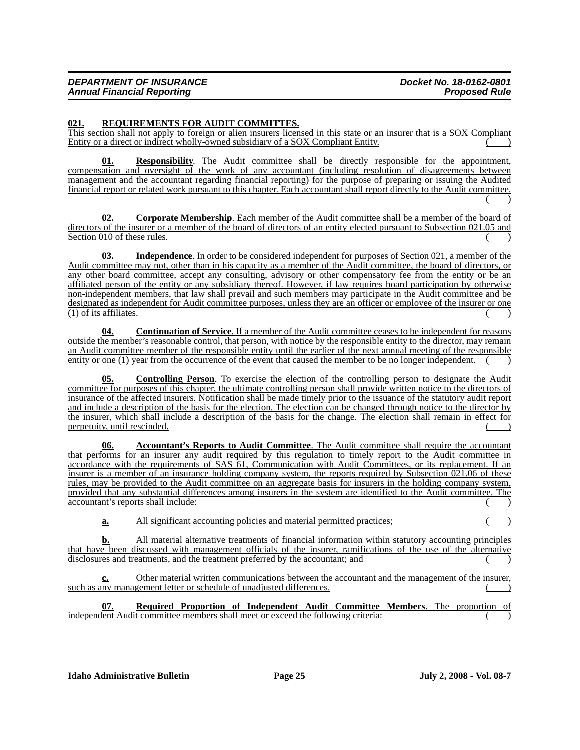#### **021. REQUIREMENTS FOR AUDIT COMMITTES.**

This section shall not apply to foreign or alien insurers licensed in this state or an insurer that is a SOX Compliant Entity or a direct or indirect wholly-owned subsidiary of a SOX Compliant Entity. ( )

**01. Responsibility**. The Audit committee shall be directly responsible for the appointment, compensation and oversight of the work of any accountant (including resolution of disagreements between management and the accountant regarding financial reporting) for the purpose of preparing or issuing the Audited financial report or related work pursuant to this chapter. Each accountant shall report directly to the Audit committee.  $($ 

**02. Corporate Membership**. Each member of the Audit committee shall be a member of the board of directors of the insurer or a member of the board of directors of an entity elected pursuant to Subsection 021.05 and Section 010 of these rules.

**03. Independence**. In order to be considered independent for purposes of Section 021, a member of the Audit committee may not, other than in his capacity as a member of the Audit committee, the board of directors, or any other board committee, accept any consulting, advisory or other compensatory fee from the entity or be an affiliated person of the entity or any subsidiary thereof. However, if law requires board participation by otherwise non-independent members, that law shall prevail and such members may participate in the Audit committee and be designated as independent for Audit committee purposes, unless they are an officer or employee of the insurer or one  $(1)$  of its affiliates.

**04. Continuation of Service**. If a member of the Audit committee ceases to be independent for reasons outside the member's reasonable control, that person, with notice by the responsible entity to the director, may remain an Audit committee member of the responsible entity until the earlier of the next annual meeting of the responsible entity or one (1) year from the occurrence of the event that caused the member to be no longer independent.

**05. Controlling Person**. To exercise the election of the controlling person to designate the Audit committee for purposes of this chapter, the ultimate controlling person shall provide written notice to the directors of insurance of the affected insurers. Notification shall be made timely prior to the issuance of the statutory audit report and include a description of the basis for the election. The election can be changed through notice to the director by the insurer, which shall include a description of the basis for the change. The election shall remain in effect for perpetuity, until rescinded.

**06. Accountant's Reports to Audit Committee**. The Audit committee shall require the accountant that performs for an insurer any audit required by this regulation to timely report to the Audit committee in accordance with the requirements of SAS 61, Communication with Audit Committees, or its replacement. If an insurer is a member of an insurance holding company system, the reports required by Subsection 021.06 of these rules, may be provided to the Audit committee on an aggregate basis for insurers in the holding company system, provided that any substantial differences among insurers in the system are identified to the Audit committee. The accountant's reports shall include:

**a.** All significant accounting policies and material permitted practices;

**b.** All material alternative treatments of financial information within statutory accounting principles that have been discussed with management officials of the insurer, ramifications of the use of the alternative disclosures and treatments, and the treatment preferred by the accountant; and

**c.** Other material written communications between the accountant and the management of the insurer, such as any management letter or schedule of unadjusted differences.

**07. Required Proportion of Independent Audit Committee Members**. The proportion of independent Audit committee members shall meet or exceed the following criteria:

**Idaho Administrative Bulletin Page 25 July 2, 2008 - Vol. 08-7**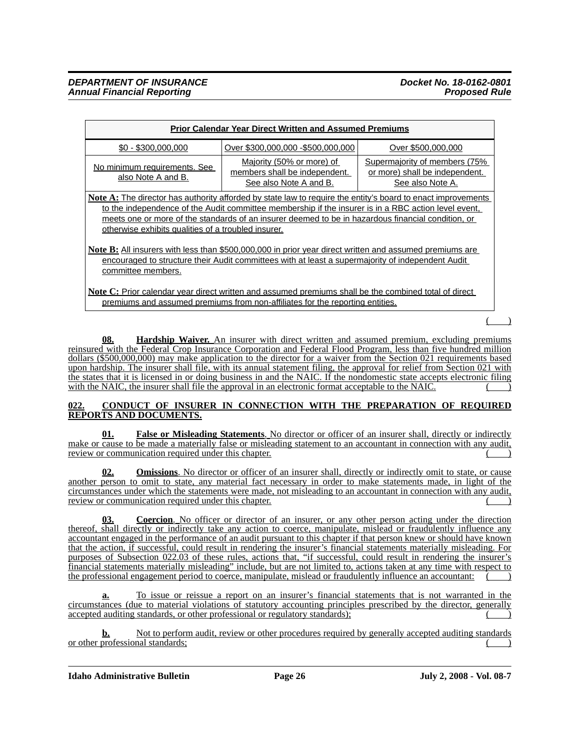| <b>Prior Calendar Year Direct Written and Assumed Premiums</b>                                                                                                                                                                                                                                                                                                                           |                                    |                    |  |  |  |
|------------------------------------------------------------------------------------------------------------------------------------------------------------------------------------------------------------------------------------------------------------------------------------------------------------------------------------------------------------------------------------------|------------------------------------|--------------------|--|--|--|
| $$0 - $300.000.000$                                                                                                                                                                                                                                                                                                                                                                      | Over \$300,000,000 - \$500,000,000 | Over \$500,000,000 |  |  |  |
| Majority (50% or more) of<br>Supermajority of members (75%)<br>No minimum requirements. See<br>members shall be independent.<br>or more) shall be independent.<br>also Note A and B.<br>See also Note A and B.<br>See also Note A.                                                                                                                                                       |                                    |                    |  |  |  |
| <b>Note A:</b> The director has authority afforded by state law to require the entity's board to enact improvements<br>to the independence of the Audit committee membership if the insurer is in a RBC action level event,<br>meets one or more of the standards of an insurer deemed to be in hazardous financial condition, or<br>otherwise exhibits qualities of a troubled insurer. |                                    |                    |  |  |  |
| Note B: All insurers with less than \$500,000,000 in prior year direct written and assumed premiums are<br>encouraged to structure their Audit committees with at least a supermajority of independent Audit<br>committee members.                                                                                                                                                       |                                    |                    |  |  |  |
| Note C: Prior calendar year direct written and assumed premiums shall be the combined total of direct                                                                                                                                                                                                                                                                                    |                                    |                    |  |  |  |

premiums and assumed premiums from non-affiliates for the reporting entities.

 $($  )

**Hardship Waiver.** An insurer with direct written and assumed premium, excluding premiums reinsured with the Federal Crop Insurance Corporation and Federal Flood Program, less than five hundred million dollars (\$500,000,000) may make application to the director for a waiver from the Section 021 requirements based upon hardship. The insurer shall file, with its annual statement filing, the approval for relief from Section 021 with the states that it is licensed in or doing business in and the NAIC. If the nondomestic state accepts electronic filing with the NAIC, the insurer shall file the approval in an electronic format acceptable to the NAIC.

## **022. CONDUCT OF INSURER IN CONNECTION WITH THE PREPARATION OF REQUIRED REPORTS AND DOCUMENTS.**

**01. False or Misleading Statements**. No director or officer of an insurer shall, directly or indirectly make or cause to be made a materially false or misleading statement to an accountant in connection with any audit, review or communication required under this chapter.

**02. Omissions**. No director or officer of an insurer shall, directly or indirectly omit to state, or cause another person to omit to state, any material fact necessary in order to make statements made, in light of the circumstances under which the statements were made, not misleading to an accountant in connection with any audit, review or communication required under this chapter.

**03. Coercion**. No officer or director of an insurer, or any other person acting under the direction thereof, shall directly or indirectly take any action to coerce, manipulate, mislead or fraudulently influence any accountant engaged in the performance of an audit pursuant to this chapter if that person knew or should have known that the action, if successful, could result in rendering the insurer's financial statements materially misleading. For purposes of Subsection 022.03 of these rules, actions that, "if successful, could result in rendering the insurer's financial statements materially misleading" include, but are not limited to, actions taken at any time with respect to the professional engagement period to coerce, manipulate, mislead or fraudulently influence an accountant:

**a.** To issue or reissue a report on an insurer's financial statements that is not warranted in the circumstances (due to material violations of statutory accounting principles prescribed by the director, generally accepted auditing standards, or other professional or regulatory standards);

Not to perform audit, review or other procedures required by generally accepted auditing standards or other professional standards;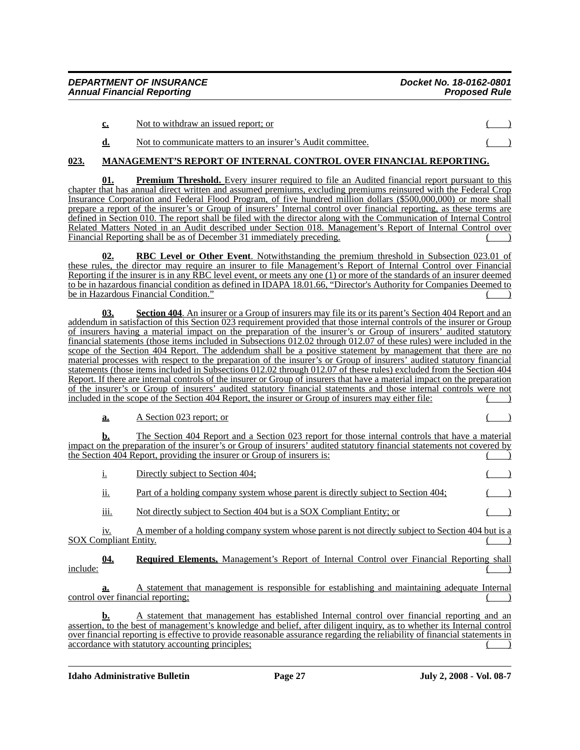| $c_{\cdot}$ | Not to withdraw an issued report; or |  |  |  |  |  |
|-------------|--------------------------------------|--|--|--|--|--|
|             |                                      |  |  |  |  |  |

# **d.** Not to communicate matters to an insurer's Audit committee.

# **023. MANAGEMENT'S REPORT OF INTERNAL CONTROL OVER FINANCIAL REPORTING.**

**01. Premium Threshold.** Every insurer required to file an Audited financial report pursuant to this chapter that has annual direct written and assumed premiums, excluding premiums reinsured with the Federal Crop Insurance Corporation and Federal Flood Program, of five hundred million dollars (\$500,000,000) or more shall prepare a report of the insurer's or Group of insurers' Internal control over financial reporting, as these terms are defined in Section 010. The report shall be filed with the director along with the Communication of Internal Control Related Matters Noted in an Audit described under Section 018. Management's Report of Internal Control over Financial Reporting shall be as of December 31 immediately preceding.

**RBC Level or Other Event**. Notwithstanding the premium threshold in Subsection 023.01 of these rules, the director may require an insurer to file Management's Report of Internal Control over Financial Reporting if the insurer is in any RBC level event, or meets any one (1) or more of the standards of an insurer deemed to be in hazardous financial condition as defined in IDAPA 18.01.66, "Director's Authority for Companies Deemed to be in Hazardous Financial Condition." (a)

**<u>Section 404**</u>. An insurer or a Group of insurers may file its or its parent's Section 404 Report and an addendum in satisfaction of this Section 023 requirement provided that those internal controls of the insurer or Group of insurers having a material impact on the preparation of the insurer's or Group of insurers' audited statutory financial statements (those items included in Subsections 012.02 through 012.07 of these rules) were included in the scope of the Section 404 Report. The addendum shall be a positive statement by management that there are no material processes with respect to the preparation of the insurer's or Group of insurers' audited statutory financial statements (those items included in Subsections 012.02 through 012.07 of these rules) excluded from the Section 404 Report. If there are internal controls of the insurer or Group of insurers that have a material impact on the preparation of the insurer's or Group of insurers' audited statutory financial statements and those internal controls were not included in the scope of the Section 404 Report, the insurer or Group of insurers may either file: ( )

**a.** A Section 023 report; or

**b.** The Section 404 Report and a Section 023 report for those internal controls that have a material impact on the preparation of the insurer's or Group of insurers' audited statutory financial statements not covered by the Section  $40\overline{4}$  Report, providing the insurer or Group of insurers is:

i. Directly subject to Section 404; ii. Part of a holding company system whose parent is directly subject to Section 404; iii. Not directly subject to Section 404 but is a SOX Compliant Entity; or

iv. A member of a holding company system whose parent is not directly subject to Section 404 but is a SOX Compliant Entity.

**04. Required Elements.** Management's Report of Internal Control over Financial Reporting shall  $\frac{\text{include}}{\text{.}}$ 

**a.** A statement that management is responsible for establishing and maintaining adequate Internal control over financial reporting;

**b.** A statement that management has established Internal control over financial reporting and an assertion, to the best of management's knowledge and belief, after diligent inquiry, as to whether its Internal control over financial reporting is effective to provide reasonable assurance regarding the reliability of financial statements in accordance with statutory accounting principles;

**Idaho Administrative Bulletin Page 27 July 2, 2008 - Vol. 08-7**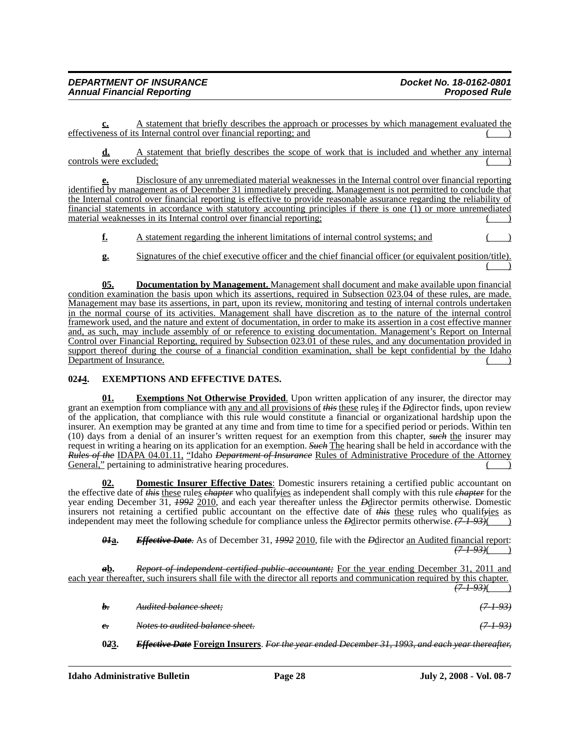| <b>DEPARTMENT OF INSURANCE</b>    | Docket No. 18-0162-0801 |
|-----------------------------------|-------------------------|
| <b>Annual Financial Reporting</b> | <b>Proposed Rule</b>    |

**c.** A statement that briefly describes the approach or processes by which management evaluated the effectiveness of its Internal control over financial reporting; and

**d.** A statement that briefly describes the scope of work that is included and whether any internal controls were excluded;

**e.** Disclosure of any unremediated material weaknesses in the Internal control over financial reporting identified by management as of December 31 immediately preceding. Management is not permitted to conclude that the Internal control over financial reporting is effective to provide reasonable assurance regarding the reliability of financial statements in accordance with statutory accounting principles if there is one (1) or more unremediated material weaknesses in its Internal control over financial reporting;

**f.** A statement regarding the inherent limitations of internal control systems; and

**g.** Signatures of the chief executive officer and the chief financial officer (or equivalent position/title).  $($  )

**05. Documentation by Management.** Management shall document and make available upon financial condition examination the basis upon which its assertions, required in Subsection 023.04 of these rules, are made. Management may base its assertions, in part, upon its review, monitoring and testing of internal controls undertaken in the normal course of its activities. Management shall have discretion as to the nature of the internal control framework used, and the nature and extent of documentation, in order to make its assertion in a cost effective manner and, as such, may include assembly of or reference to existing documentation. Management's Report on Internal Control over Financial Reporting, required by Subsection 023.01 of these rules, and any documentation provided in support thereof during the course of a financial condition examination, shall be kept confidential by the Idaho Department of Insurance.

## **02***1***4. EXEMPTIONS AND EFFECTIVE DATES.**

**Exemptions Not Otherwise Provided.** Upon written application of any insurer, the director may grant an exemption from compliance with any and all provisions of *this* these rules if the *D*director finds, upon review of the application, that compliance with this rule would constitute a financial or organizational hardship upon the insurer. An exemption may be granted at any time and from time to time for a specified period or periods. Within ten (10) days from a denial of an insurer's written request for an exemption from this chapter, *such* the insurer may request in writing a hearing on its application for an exemption. *Such* The hearing shall be held in accordance with the *Rules of the* IDAPA 04.01.11, "Idaho *Department of Insurance* Rules of Administrative Procedure of the Attorney General," pertaining to administrative hearing procedures.

**Domestic Insurer Effective Dates:** Domestic insurers retaining a certified public accountant on the effective date of *this* these rules *chapter* who qualif*y*ies as independent shall comply with this rule *chapter* for the year ending December 31, *1992* 2010, and each year thereafter unless the *D*director permits otherwise. Domestic insurers not retaining a certified public accountant on the effective date of *this* these rules who qualif*y*ies as independent may meet the following schedule for compliance unless the *D*director permits otherwise.  $(7\overline{1}+93)($  )

*01***a.** *Effective Date.* As of December 31, *1992* 2010, file with the *D*director an Audited financial report: *(7-1-93)*( )

*a***b.** *Report of independent certified public accountant;* For the year ending December 31, 2011 and each year thereafter, such insurers shall file with the director all reports and communication required by this chapter. *(7-1-93)*( ) *b. Audited balance sheet; (7-1-93) c. Notes to audited balance sheet. (7-1-93)* **0***2***3.** *Effective Date* **Foreign Insurers**. *For the year ended December 31, 1993, and each year thereafter,*